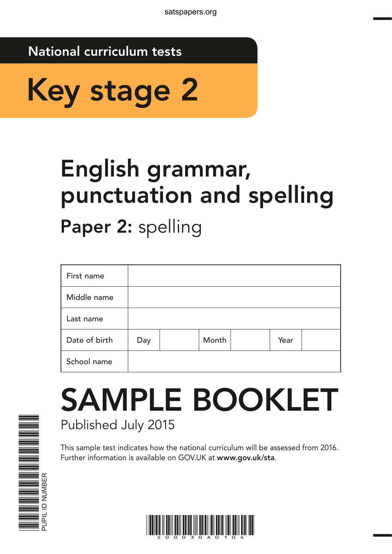## National curriculum tests



# English grammar, punctuation and spelling

Paper 2: spelling

| First name    |     |       |      |  |
|---------------|-----|-------|------|--|
| Middle name   |     |       |      |  |
| Last name     |     |       |      |  |
| Date of birth | Day | Month | Year |  |
| School name   |     |       |      |  |

## SAMPLE BOOKLET Published July 2015

This sample test indicates how the national curriculum will be assessed from 2016. Further information is available on GOV.UK at www.gov.uk/sta.



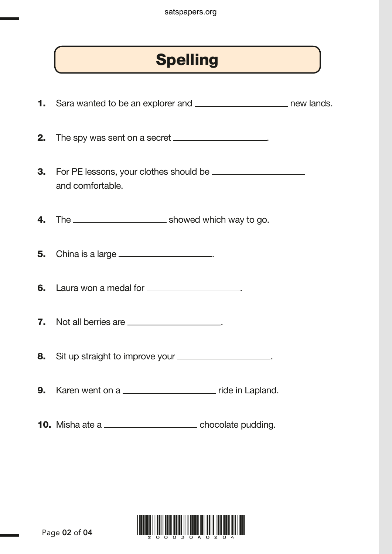## Spelling

1. Sara wanted to be an explorer and \_\_\_\_\_\_\_\_\_\_\_\_\_\_\_\_\_\_\_\_\_\_\_\_\_\_\_ new lands. 2. The spy was sent on a secret \_\_\_\_\_\_\_\_\_\_\_\_\_\_\_\_\_\_. 3. For PE lessons, your clothes should be and comfortable. 4. The showed which way to go. **5.** China is a large <u>equal</u> contained by the contact of the set of the set of the set of the set of the set of the set of the set of the set of the set of the set of the set of the set of the set of the set of the set of 6. Laura won a medal for \_\_\_\_\_\_\_\_\_\_\_\_\_\_\_\_\_\_. 7. Not all berries are <u>equal</u> that the state of the state of the state of the state of the state of the state of the state of the state of the state of the state of the state of the state of the state of the state of the 8. Sit up straight to improve your \_\_\_\_\_\_\_\_\_\_\_\_\_\_\_\_\_\_\_. 9. Karen went on a \_\_\_\_\_\_\_\_\_\_\_\_\_\_\_\_\_\_\_\_\_\_\_ ride in Lapland. 10. Misha ate a \_\_\_\_\_\_\_\_\_\_\_\_\_\_\_\_\_\_\_\_\_\_\_\_\_\_ chocolate pudding.

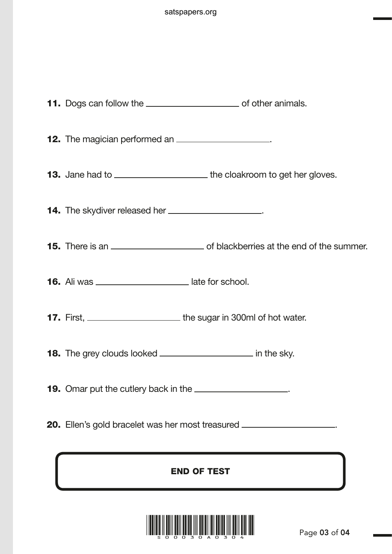| <b>12.</b> The magician performed an _______________________.                                   |
|-------------------------------------------------------------------------------------------------|
| <b>13.</b> Jane had to __________________________the cloakroom to get her gloves.               |
| <b>14.</b> The skydiver released her _______________________.                                   |
| <b>15.</b> There is an <u>entitled and the summer</u> of blackberries at the end of the summer. |
| 16. Ali was ___________________________ late for school.                                        |
| 17. First, ______________________________ the sugar in 300ml of hot water.                      |
| 18. The grey clouds looked __________________________ in the sky.                               |
| <b>19.</b> Omar put the cutlery back in the _______________________.                            |
| <b>20.</b> Ellen's gold bracelet was her most treasured ______________________.                 |

## END OF TEST